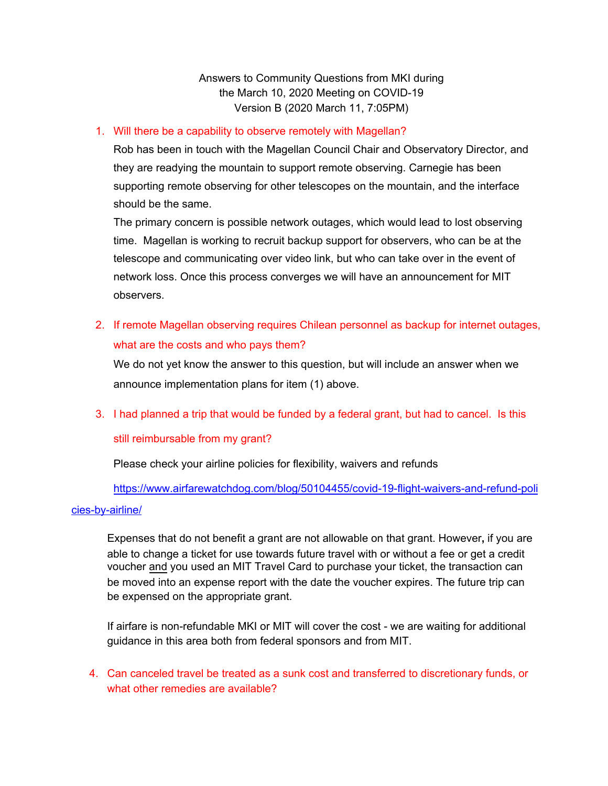Answers to Community Questions from MKI during the March 10, 2020 Meeting on COVID-19 Version B (2020 March 11, 7:05PM)

#### 1. Will there be a capability to observe remotely with Magellan?

Rob has been in touch with the Magellan Council Chair and Observatory Director, and they are readying the mountain to support remote observing. Carnegie has been supporting remote observing for other telescopes on the mountain, and the interface should be the same.

The primary concern is possible network outages, which would lead to lost observing time. Magellan is working to recruit backup support for observers, who can be at the telescope and communicating over video link, but who can take over in the event of network loss. Once this process converges we will have an announcement for MIT observers.

2. If remote Magellan observing requires Chilean personnel as backup for internet outages, what are the costs and who pays them?

We do not yet know the answer to this question, but will include an answer when we announce implementation plans for item (1) above.

### 3. I had planned a trip that would be funded by a federal grant, but had to cancel. Is this

#### still reimbursable from my grant?

Please check your airline policies for flexibility, waivers and refunds

[https://www.airfarewatchdog.com/blog/50104455/covid-19-flight-waivers-and-refund-poli](https://www.airfarewatchdog.com/blog/50104455/covid-19-flight-waivers-and-refund-policies-by-airline/) [cies-by-airline/](https://www.airfarewatchdog.com/blog/50104455/covid-19-flight-waivers-and-refund-policies-by-airline/)

Expenses that do not benefit a grant are not allowable on that grant. However**,** if you are able to change a ticket for use towards future travel with or without a fee or get a credit voucher and you used an MIT Travel Card to purchase your ticket, the transaction can be moved into an expense report with the date the voucher expires. The future trip can be expensed on the appropriate grant.

If airfare is non-refundable MKI or MIT will cover the cost - we are waiting for additional guidance in this area both from federal sponsors and from MIT.

4. Can canceled travel be treated as a sunk cost and transferred to discretionary funds, or what other remedies are available?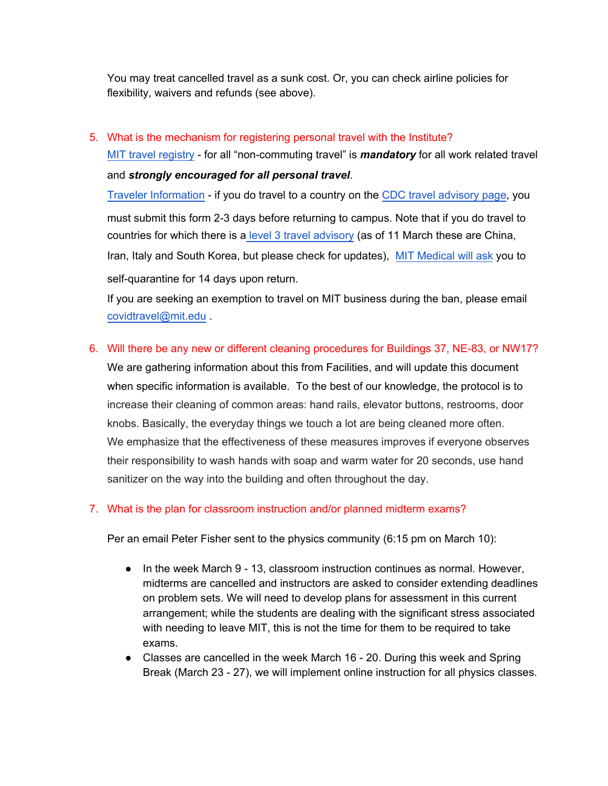You may treat cancelled travel as a sunk cost. Or, you can check airline policies for flexibility, waivers and refunds (see above).

## 5. What is the mechanism for registering personal travel with the Institute?

[MIT travel registry](https://mit.us4.list-manage.com/track/click?u=80f62adc67c5889c8cf03eb72&id=ac8de82072&e=780ab26ebd) - for all "non-commuting travel" is *mandatory* for all work related travel and *strongly encouraged for all personal travel*.

[Traveler Information](https://mit.us4.list-manage.com/track/click?u=80f62adc67c5889c8cf03eb72&id=2a63e80395&e=780ab26ebd) - if you do travel to a country on the [CDC travel advisory page](https://mit.us4.list-manage.com/track/click?u=80f62adc67c5889c8cf03eb72&id=3ede05e080&e=780ab26ebd), you must submit this form 2-3 days before returning to campus. Note that if you do travel to countries for which there is a [level 3 travel advisory](https://www.cdc.gov/coronavirus/2019-ncov/travelers/after-travel-precautions.html) (as of 11 March these are China, Iran, Italy and South Korea, but please check for updates), [MIT Medical will ask](https://medical.mit.edu/faqs/faq-COVID19-self-quarantine-issues#faq-2) you to self-quarantine for 14 days upon return.

If you are seeking an exemption to travel on MIT business during the ban, please email [covidtravel@mit.edu](mailto:covidtravel@mit.edu) .

# 6. Will there be any new or different cleaning procedures for Buildings 37, NE-83, or NW17?

We are gathering information about this from Facilities, and will update this document when specific information is available. To the best of our knowledge, the protocol is to increase their cleaning of common areas: hand rails, elevator buttons, restrooms, door knobs. Basically, the everyday things we touch a lot are being cleaned more often. We emphasize that the effectiveness of these measures improves if everyone observes their responsibility to wash hands with soap and warm water for 20 seconds, use hand sanitizer on the way into the building and often throughout the day.

### 7. What is the plan for classroom instruction and/or planned midterm exams?

Per an email Peter Fisher sent to the physics community (6:15 pm on March 10):

- In the week March 9 13, classroom instruction continues as normal. However, midterms are cancelled and instructors are asked to consider extending deadlines on problem sets. We will need to develop plans for assessment in this current arrangement; while the students are dealing with the significant stress associated with needing to leave MIT, this is not the time for them to be required to take exams.
- Classes are cancelled in the week March 16 20. During this week and Spring Break (March 23 - 27), we will implement online instruction for all physics classes.